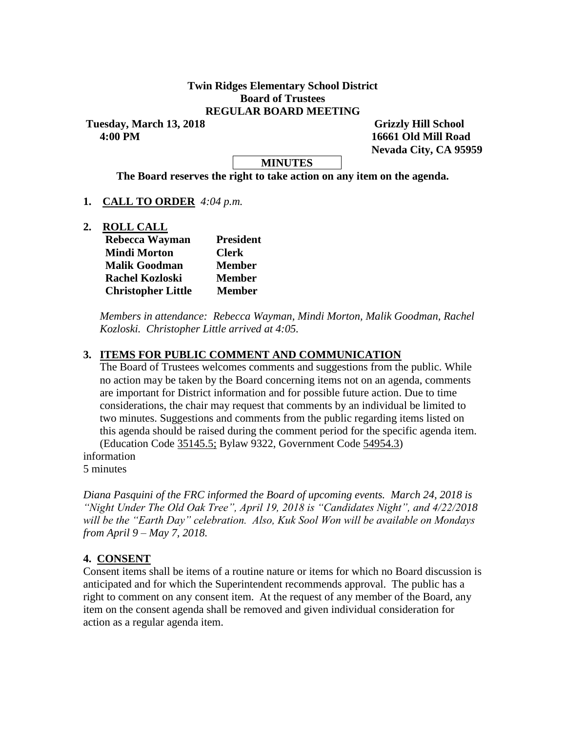#### **Twin Ridges Elementary School District Board of Trustees REGULAR BOARD MEETING**

**Tuesday, March 13, 2018 Grizzly Hill School 4:00 PM 16661 Old Mill Road**

 **Nevada City, CA 95959**

#### **MINUTES**

**The Board reserves the right to take action on any item on the agenda.**

#### **1. CALL TO ORDER** *4:04 p.m.*

**2. ROLL CALL**

| Rebecca Wayman            | <b>President</b> |  |  |  |
|---------------------------|------------------|--|--|--|
| <b>Mindi Morton</b>       | <b>Clerk</b>     |  |  |  |
| <b>Malik Goodman</b>      | <b>Member</b>    |  |  |  |
| <b>Rachel Kozloski</b>    | <b>Member</b>    |  |  |  |
| <b>Christopher Little</b> | <b>Member</b>    |  |  |  |

*Members in attendance: Rebecca Wayman, Mindi Morton, Malik Goodman, Rachel Kozloski. Christopher Little arrived at 4:05.*

#### **3. ITEMS FOR PUBLIC COMMENT AND COMMUNICATION**

The Board of Trustees welcomes comments and suggestions from the public. While no action may be taken by the Board concerning items not on an agenda, comments are important for District information and for possible future action. Due to time considerations, the chair may request that comments by an individual be limited to two minutes. Suggestions and comments from the public regarding items listed on this agenda should be raised during the comment period for the specific agenda item. (Education Code 35145.5; Bylaw 9322, Government Code 54954.3)

information 5 minutes

*Diana Pasquini of the FRC informed the Board of upcoming events. March 24, 2018 is "Night Under The Old Oak Tree", April 19, 2018 is "Candidates Night", and 4/22/2018 will be the "Earth Day" celebration. Also, Kuk Sool Won will be available on Mondays from April 9 – May 7, 2018.*

#### **4. CONSENT**

Consent items shall be items of a routine nature or items for which no Board discussion is anticipated and for which the Superintendent recommends approval. The public has a right to comment on any consent item. At the request of any member of the Board, any item on the consent agenda shall be removed and given individual consideration for action as a regular agenda item.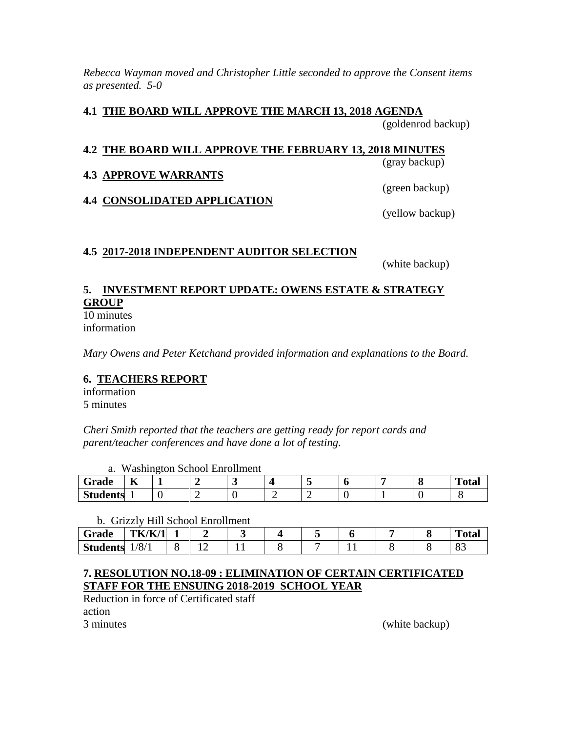*Rebecca Wayman moved and Christopher Little seconded to approve the Consent items as presented. 5-0*

### **4.1 THE BOARD WILL APPROVE THE MARCH 13, 2018 AGENDA**

(goldenrod backup)

### **4.2 THE BOARD WILL APPROVE THE FEBRUARY 13, 2018 MINUTES**

(gray backup)

## **4.3 APPROVE WARRANTS**

**4.4 CONSOLIDATED APPLICATION**

(green backup)

(yellow backup)

### **4.5 2017-2018 INDEPENDENT AUDITOR SELECTION**

(white backup)

# **5. INVESTMENT REPORT UPDATE: OWENS ESTATE & STRATEGY GROUP**

10 minutes information

*Mary Owens and Peter Ketchand provided information and explanations to the Board.*

## **6. TEACHERS REPORT**

information 5 minutes

*Cheri Smith reported that the teachers are getting ready for report cards and parent/teacher conferences and have done a lot of testing.*

|  |  | a. Washington School Enrollment |  |
|--|--|---------------------------------|--|
|  |  |                                 |  |

| Grade           | $-$<br>A |   |  |   |  | m.<br>`otal |
|-----------------|----------|---|--|---|--|-------------|
| <b>Students</b> |          | ◡ |  | - |  |             |

b. Grizzly Hill School Enrollment

| Grade           | TK/K/ | $\overline{\phantom{a}}$ |  |  |  | m<br>`otal |
|-----------------|-------|--------------------------|--|--|--|------------|
| <b>Students</b> | /8/1  | ∼                        |  |  |  | ບຸ         |

### **7. RESOLUTION NO.18-09 : ELIMINATION OF CERTAIN CERTIFICATED STAFF FOR THE ENSUING 2018-2019 SCHOOL YEAR**

Reduction in force of Certificated staff

action

3 minutes (white backup)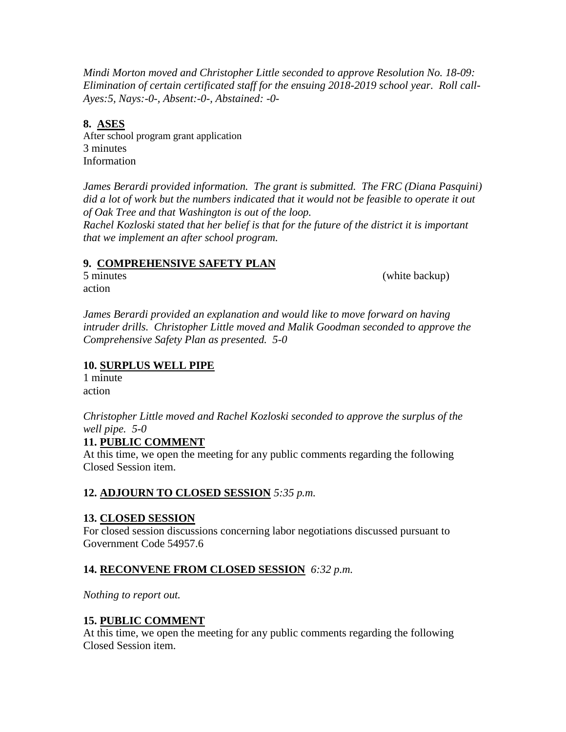*Mindi Morton moved and Christopher Little seconded to approve Resolution No. 18-09: Elimination of certain certificated staff for the ensuing 2018-2019 school year. Roll call-Ayes:5, Nays:-0-, Absent:-0-, Abstained: -0-*

### **8. ASES**

After school program grant application 3 minutes Information

*James Berardi provided information. The grant is submitted. The FRC (Diana Pasquini) did a lot of work but the numbers indicated that it would not be feasible to operate it out of Oak Tree and that Washington is out of the loop.*

*Rachel Kozloski stated that her belief is that for the future of the district it is important that we implement an after school program.*

### **9. COMPREHENSIVE SAFETY PLAN**

5 minutes (white backup)

action

*James Berardi provided an explanation and would like to move forward on having intruder drills. Christopher Little moved and Malik Goodman seconded to approve the Comprehensive Safety Plan as presented. 5-0*

### **10. SURPLUS WELL PIPE**

1 minute action

*Christopher Little moved and Rachel Kozloski seconded to approve the surplus of the well pipe. 5-0*

### **11. PUBLIC COMMENT**

At this time, we open the meeting for any public comments regarding the following Closed Session item.

## **12. ADJOURN TO CLOSED SESSION** *5:35 p.m.*

### **13. CLOSED SESSION**

For closed session discussions concerning labor negotiations discussed pursuant to Government Code 54957.6

## **14. RECONVENE FROM CLOSED SESSION** *6:32 p.m.*

*Nothing to report out.*

### **15. PUBLIC COMMENT**

At this time, we open the meeting for any public comments regarding the following Closed Session item.